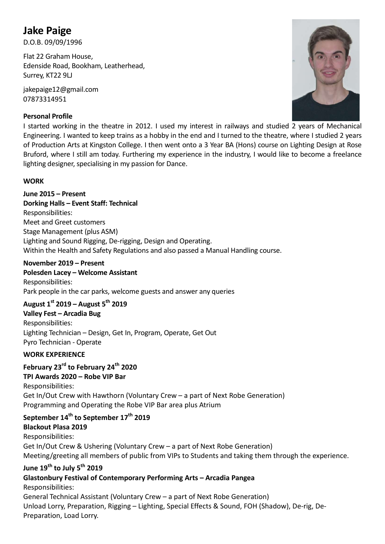# Jake Paige

D.O.B. 09/09/1996

Flat 22 Graham House, Edenside Road, Bookham, Leatherhead, Surrey, KT22 9LJ

jakepaige12@gmail.com 07873314951

## Personal Profile



I started working in the theatre in 2012. I used my interest in railways and studied 2 years of Mechanical Engineering. I wanted to keep trains as a hobby in the end and I turned to the theatre, where I studied 2 years of Production Arts at Kingston College. I then went onto a 3 Year BA (Hons) course on Lighting Design at Rose Bruford, where I still am today. Furthering my experience in the industry, I would like to become a freelance lighting designer, specialising in my passion for Dance.

## **WORK**

June 2015 – Present Dorking Halls – Event Staff: Technical Responsibilities: Meet and Greet customers Stage Management (plus ASM) Lighting and Sound Rigging, De-rigging, Design and Operating. Within the Health and Safety Regulations and also passed a Manual Handling course.

#### November 2019 – Present

Polesden Lacey – Welcome Assistant Responsibilities: Park people in the car parks, welcome guests and answer any queries

# August  $1^{st}$  2019 – August 5<sup>th</sup> 2019

Valley Fest – Arcadia Bug Responsibilities: Lighting Technician – Design, Get In, Program, Operate, Get Out Pyro Technician - Operate

#### WORK EXPERIENCE

February 23<sup>rd</sup> to February 24<sup>th</sup> 2020

## TPI Awards 2020 – Robe VIP Bar

Responsibilities: Get In/Out Crew with Hawthorn (Voluntary Crew – a part of Next Robe Generation) Programming and Operating the Robe VIP Bar area plus Atrium

# September 14<sup>th</sup> to September 17<sup>th</sup> 2019 Blackout Plasa 2019

Responsibilities: Get In/Out Crew & Ushering (Voluntary Crew – a part of Next Robe Generation) Meeting/greeting all members of public from VIPs to Students and taking them through the experience.

# June 19<sup>th</sup> to July 5<sup>th</sup> 2019

Glastonbury Festival of Contemporary Performing Arts – Arcadia Pangea Responsibilities:

General Technical Assistant (Voluntary Crew – a part of Next Robe Generation) Unload Lorry, Preparation, Rigging – Lighting, Special Effects & Sound, FOH (Shadow), De-rig, De-Preparation, Load Lorry.